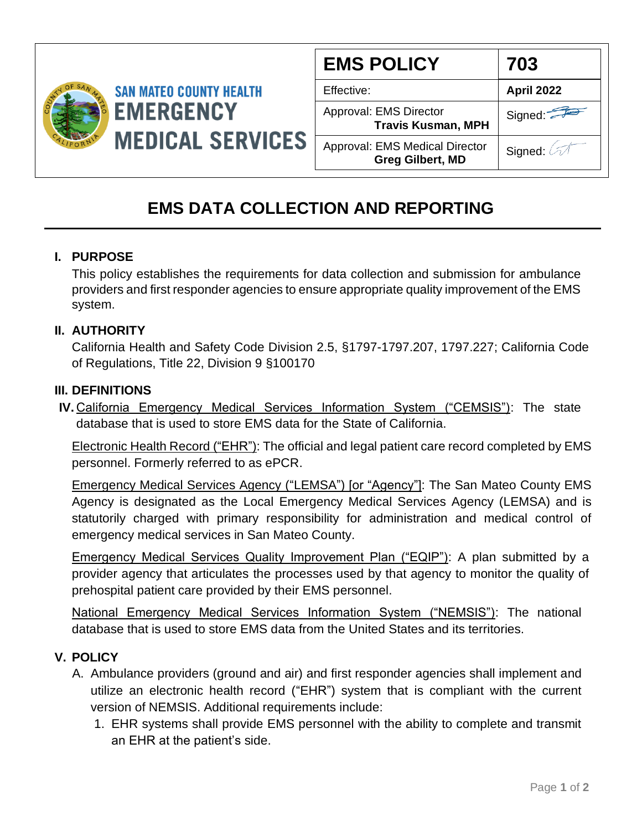

| <b>EMS POLICY</b>                                                | 703        |
|------------------------------------------------------------------|------------|
| Effective:                                                       | April 2022 |
| Approval: EMS Director<br><b>Travis Kusman, MPH</b>              | Signed:    |
| <b>Approval: EMS Medical Director</b><br><b>Greg Gilbert, MD</b> | Signed: 4  |

# **EMS DATA COLLECTION AND REPORTING**

## **I. PURPOSE**

This policy establishes the requirements for data collection and submission for ambulance providers and first responder agencies to ensure appropriate quality improvement of the EMS system.

## **II. AUTHORITY**

California Health and Safety Code Division 2.5, §1797-1797.207, 1797.227; California Code of Regulations, Title 22, Division 9 §100170

### **III. DEFINITIONS**

**IV.** California Emergency Medical Services Information System ("CEMSIS"): The state database that is used to store EMS data for the State of California.

Electronic Health Record ("EHR"): The official and legal patient care record completed by EMS personnel. Formerly referred to as ePCR.

Emergency Medical Services Agency ("LEMSA") [or "Agency"]: The San Mateo County EMS Agency is designated as the Local Emergency Medical Services Agency (LEMSA) and is statutorily charged with primary responsibility for administration and medical control of emergency medical services in San Mateo County.

Emergency Medical Services Quality Improvement Plan ("EQIP"): A plan submitted by a provider agency that articulates the processes used by that agency to monitor the quality of prehospital patient care provided by their EMS personnel.

National Emergency Medical Services Information System ("NEMSIS"): The national database that is used to store EMS data from the United States and its territories.

### **V. POLICY**

- A. Ambulance providers (ground and air) and first responder agencies shall implement and utilize an electronic health record ("EHR") system that is compliant with the current version of NEMSIS. Additional requirements include:
	- 1. EHR systems shall provide EMS personnel with the ability to complete and transmit an EHR at the patient's side.